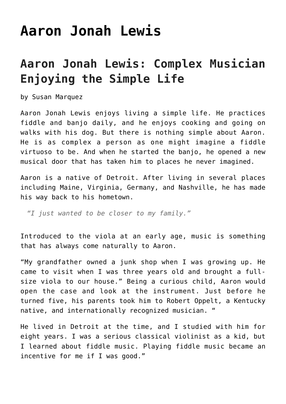## **[Aaron Jonah Lewis](https://thebluegrassstandard.com/aaron-jonah-lewis/)**

## **Aaron Jonah Lewis: Complex Musician Enjoying the Simple Life**

by Susan Marquez

Aaron Jonah Lewis enjoys living a simple life. He practices fiddle and banjo daily, and he enjoys cooking and going on walks with his dog. But there is nothing simple about Aaron. He is as complex a person as one might imagine a fiddle virtuoso to be. And when he started the banjo, he opened a new musical door that has taken him to places he never imagined.

Aaron is a native of Detroit. After living in several places including Maine, Virginia, Germany, and Nashville, he has made his way back to his hometown.

*"I just wanted to be closer to my family."*

Introduced to the viola at an early age, music is something that has always come naturally to Aaron.

"My grandfather owned a junk shop when I was growing up. He came to visit when I was three years old and brought a fullsize viola to our house." Being a curious child, Aaron would open the case and look at the instrument. Just before he turned five, his parents took him to Robert Oppelt, a Kentucky native, and internationally recognized musician. "

He lived in Detroit at the time, and I studied with him for eight years. I was a serious classical violinist as a kid, but I learned about fiddle music. Playing fiddle music became an incentive for me if I was good."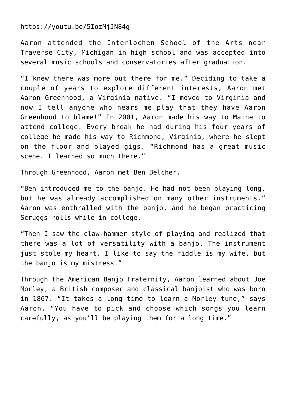## https://youtu.be/5IozMjJN84g

Aaron attended the Interlochen School of the Arts near Traverse City, Michigan in high school and was accepted into several music schools and conservatories after graduation.

"I knew there was more out there for me." Deciding to take a couple of years to explore different interests, Aaron met Aaron Greenhood, a Virginia native. "I moved to Virginia and now I tell anyone who hears me play that they have Aaron Greenhood to blame!" In 2001, Aaron made his way to Maine to attend college. Every break he had during his four years of college he made his way to Richmond, Virginia, where he slept on the floor and played gigs. "Richmond has a great music scene. I learned so much there."

Through Greenhood, Aaron met Ben Belcher.

"Ben introduced me to the banjo. He had not been playing long, but he was already accomplished on many other instruments." Aaron was enthralled with the banjo, and he began practicing Scruggs rolls while in college.

"Then I saw the claw-hammer style of playing and realized that there was a lot of versatility with a banjo. The instrument just stole my heart. I like to say the fiddle is my wife, but the banjo is my mistress."

Through the American Banjo Fraternity, Aaron learned about Joe Morley, a British composer and classical banjoist who was born in 1867. "It takes a long time to learn a Morley tune," says Aaron. "You have to pick and choose which songs you learn carefully, as you'll be playing them for a long time."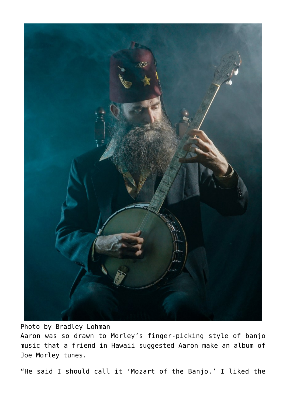

## Photo by Bradley Lohman

Aaron was so drawn to Morley's finger-picking style of banjo music that a friend in Hawaii suggested Aaron make an album of Joe Morley tunes.

"He said I should call it 'Mozart of the Banjo.' I liked the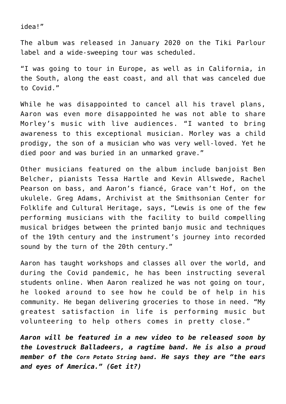idea!"

The album was released in January 2020 on the Tiki Parlour label and a wide-sweeping tour was scheduled.

"I was going to tour in Europe, as well as in California, in the South, along the east coast, and all that was canceled due to Covid."

While he was disappointed to cancel all his travel plans, Aaron was even more disappointed he was not able to share Morley's music with live audiences. "I wanted to bring awareness to this exceptional musician. Morley was a child prodigy, the son of a musician who was very well-loved. Yet he died poor and was buried in an unmarked grave."

Other musicians featured on the album include banjoist Ben Belcher, pianists Tessa Hartle and Kevin Allswede, Rachel Pearson on bass, and Aaron's fiancé, Grace van't Hof, on the ukulele. Greg Adams, Archivist at the Smithsonian Center for Folklife and Cultural Heritage, says, "Lewis is one of the few performing musicians with the facility to build compelling musical bridges between the printed banjo music and techniques of the 19th century and the instrument's journey into recorded sound by the turn of the 20th century."

Aaron has taught workshops and classes all over the world, and during the Covid pandemic, he has been instructing several students online. When Aaron realized he was not going on tour, he looked around to see how he could be of help in his community. He began delivering groceries to those in need. "My greatest satisfaction in life is performing music but volunteering to help others comes in pretty close."

*Aaron will be featured in a new video to be released soon by the Lovestruck Balladeers, a ragtime band. He is also a proud member of the [Corn Potato String band](https://cornpotato.com/). He says they are "the ears and eyes of America." (Get it?)*